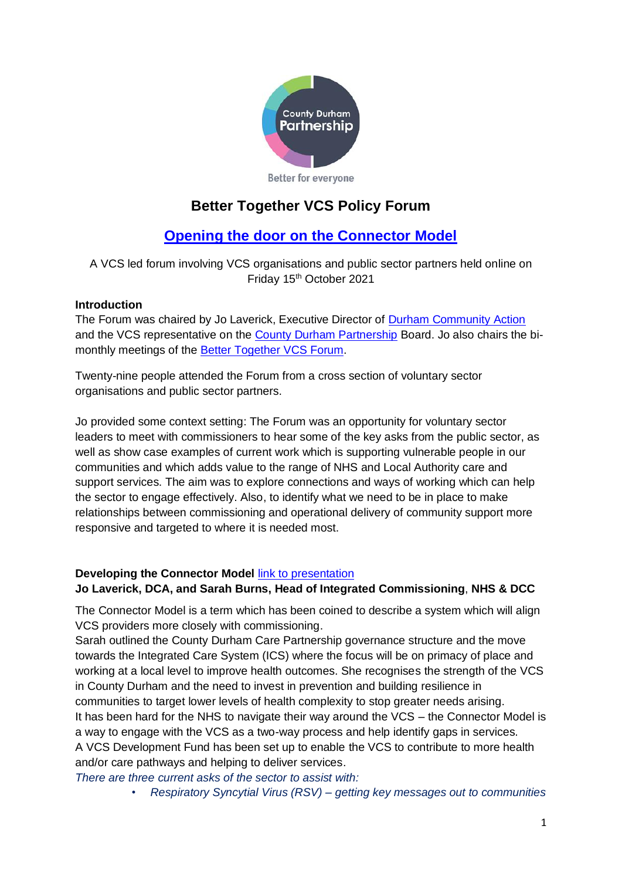

# **Better Together VCS Policy Forum**

# **[Opening the door on the Connector Model](https://www.durhamcommunityaction.org.uk/better-together-policy-forum---opening-the-door-on-the-connector-model.html)**

A VCS led forum involving VCS organisations and public sector partners held online on Friday 15<sup>th</sup> October 2021

# **Introduction**

The Forum was chaired by Jo Laverick, Executive Director of **Durham Community Action** and the VCS representative on the [County Durham Partnership](http://www.countydurhampartnership.co.uk/) Board. Jo also chairs the bimonthly meetings of the [Better Together VCS Forum.](http://www.durhamcommunityaction.org.uk/better-together-vcs-forum.html)

Twenty-nine people attended the Forum from a cross section of voluntary sector organisations and public sector partners.

Jo provided some context setting: The Forum was an opportunity for voluntary sector leaders to meet with commissioners to hear some of the key asks from the public sector, as well as show case examples of current work which is supporting vulnerable people in our communities and which adds value to the range of NHS and Local Authority care and support services. The aim was to explore connections and ways of working which can help the sector to engage effectively. Also, to identify what we need to be in place to make relationships between commissioning and operational delivery of community support more responsive and targeted to where it is needed most.

# **Developing the Connector Model** [link to presentation](https://www.durhamcommunityaction.org.uk/public/dca/www/uploads/files/BT%20Policy%20Conference%20Intro%20and%20Developing%20the%20Connector%20Model%2015_10_21.pptx)

# **Jo Laverick, DCA, and Sarah Burns, Head of Integrated Commissioning**, **NHS & DCC**

The Connector Model is a term which has been coined to describe a system which will align VCS providers more closely with commissioning.

Sarah outlined the County Durham Care Partnership governance structure and the move towards the Integrated Care System (ICS) where the focus will be on primacy of place and working at a local level to improve health outcomes. She recognises the strength of the VCS in County Durham and the need to invest in prevention and building resilience in communities to target lower levels of health complexity to stop greater needs arising. It has been hard for the NHS to navigate their way around the VCS – the Connector Model is a way to engage with the VCS as a two-way process and help identify gaps in services. A VCS Development Fund has been set up to enable the VCS to contribute to more health and/or care pathways and helping to deliver services.

*There are three current asks of the sector to assist with:*

• *Respiratory Syncytial Virus (RSV) – getting key messages out to communities*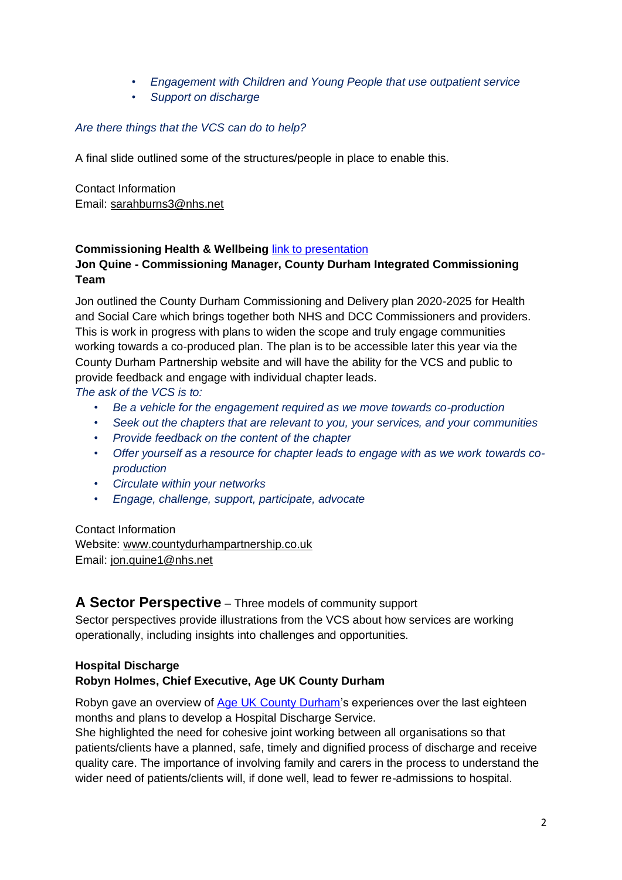- *Engagement with Children and Young People that use outpatient service*
- *Support on discharge*

#### *Are there things that the VCS can do to help?*

A final slide outlined some of the structures/people in place to enable this.

Contact Information Email: [sarahburns3@nhs.net](mailto:sarahburns3@nhs.net)

#### **Commissioning Health & Wellbeing [link to presentation](https://www.durhamcommunityaction.org.uk/public/dca/www/uploads/files/County%20Durham%205-year%20plan.pptx)**

#### **Jon Quine - Commissioning Manager, County Durham Integrated Commissioning Team**

Jon outlined the County Durham Commissioning and Delivery plan 2020-2025 for Health and Social Care which brings together both NHS and DCC Commissioners and providers. This is work in progress with plans to widen the scope and truly engage communities working towards a co-produced plan. The plan is to be accessible later this year via the County Durham Partnership website and will have the ability for the VCS and public to provide feedback and engage with individual chapter leads.

*The ask of the VCS is to:*

- *Be a vehicle for the engagement required as we move towards co-production*
- *Seek out the chapters that are relevant to you, your services, and your communities*
- *Provide feedback on the content of the chapter*
- *Offer yourself as a resource for chapter leads to engage with as we work towards coproduction*
- *Circulate within your networks*
- *Engage, challenge, support, participate, advocate*

Contact Information Website: [www.countydurhampartnership.co.uk](http://www.countydurhampartnership.co.uk/) Email: [jon.quine1@nhs.net](mailto:jon.quine1@nhs.net)

# **A Sector Perspective** – Three models of community support

Sector perspectives provide illustrations from the VCS about how services are working operationally, including insights into challenges and opportunities.

# **Hospital Discharge Robyn Holmes, Chief Executive, Age UK County Durham**

Robyn gave an overview of [Age UK County Durham'](https://www.ageuk.org.uk/countydurham/)s experiences over the last eighteen months and plans to develop a Hospital Discharge Service.

She highlighted the need for cohesive joint working between all organisations so that patients/clients have a planned, safe, timely and dignified process of discharge and receive quality care. The importance of involving family and carers in the process to understand the wider need of patients/clients will, if done well, lead to fewer re-admissions to hospital.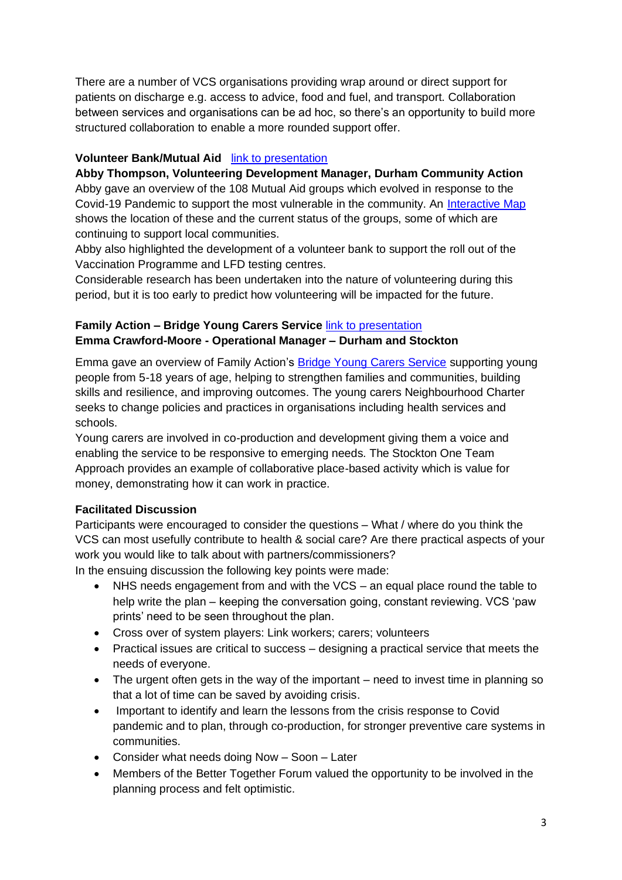There are a number of VCS organisations providing wrap around or direct support for patients on discharge e.g. access to advice, food and fuel, and transport. Collaboration between services and organisations can be ad hoc, so there's an opportunity to build more structured collaboration to enable a more rounded support offer.

#### **Volunteer Bank/Mutual Aid** [link to presentation](https://www.durhamcommunityaction.org.uk/public/dca/www/uploads/files/Volunteer%20Bank%20and%20Mutual%20Aid%20Presentation%20-%20Better%20Together%20Forum.pptx)

**Abby Thompson, Volunteering Development Manager, Durham Community Action** Abby gave an overview of the 108 Mutual Aid groups which evolved in response to the Covid-19 Pandemic to support the most vulnerable in the community. An [Interactive Map](https://www.mapcustomizer.com/map/Mutual%20Aid%20Groups%20County%20Durham%20Master) shows the location of these and the current status of the groups, some of which are continuing to support local communities.

Abby also highlighted the development of a volunteer bank to support the roll out of the Vaccination Programme and LFD testing centres.

Considerable research has been undertaken into the nature of volunteering during this period, but it is too early to predict how volunteering will be impacted for the future.

# **Family Action – Bridge Young Carers Service** [link to presentation](https://www.durhamcommunityaction.org.uk/public/dca/www/uploads/files/Better%20Together_Family%20Action.pptx) **Emma Crawford-Moore - Operational Manager – Durham and Stockton**

Emma gave an overview of Family Action's [Bridge Young Carers Service](https://www.family-action.org.uk/what-we-do/children-families/bridge-young-carers-service/) supporting young people from 5-18 years of age, helping to strengthen families and communities, building skills and resilience, and improving outcomes. The young carers Neighbourhood Charter seeks to change policies and practices in organisations including health services and schools.

Young carers are involved in co-production and development giving them a voice and enabling the service to be responsive to emerging needs. The Stockton One Team Approach provides an example of collaborative place-based activity which is value for money, demonstrating how it can work in practice.

# **Facilitated Discussion**

Participants were encouraged to consider the questions – What / where do you think the VCS can most usefully contribute to health & social care? Are there practical aspects of your work you would like to talk about with partners/commissioners?

In the ensuing discussion the following key points were made:

- NHS needs engagement from and with the VCS an equal place round the table to help write the plan – keeping the conversation going, constant reviewing. VCS 'paw prints' need to be seen throughout the plan.
- Cross over of system players: Link workers; carers; volunteers
- Practical issues are critical to success designing a practical service that meets the needs of everyone.
- The urgent often gets in the way of the important need to invest time in planning so that a lot of time can be saved by avoiding crisis.
- Important to identify and learn the lessons from the crisis response to Covid pandemic and to plan, through co-production, for stronger preventive care systems in communities.
- Consider what needs doing Now Soon Later
- Members of the Better Together Forum valued the opportunity to be involved in the planning process and felt optimistic.